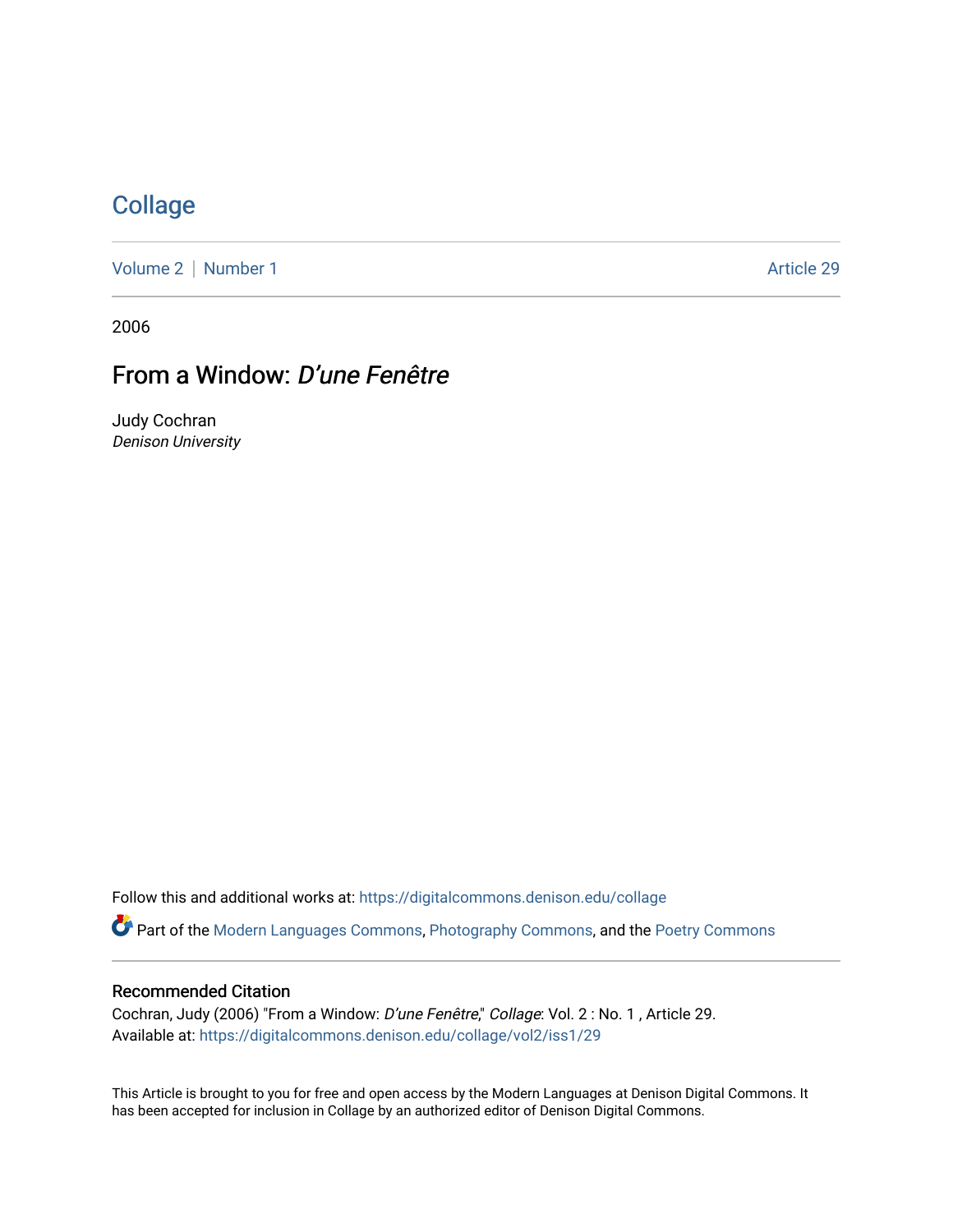## **[Collage](https://digitalcommons.denison.edu/collage)**

[Volume 2](https://digitalcommons.denison.edu/collage/vol2) | [Number 1](https://digitalcommons.denison.edu/collage/vol2/iss1) Article 29

2006

# From a Window: D'une Fenêtre

Judy Cochran Denison University

Follow this and additional works at: [https://digitalcommons.denison.edu/collage](https://digitalcommons.denison.edu/collage?utm_source=digitalcommons.denison.edu%2Fcollage%2Fvol2%2Fiss1%2F29&utm_medium=PDF&utm_campaign=PDFCoverPages)  Part of the [Modern Languages Commons,](http://network.bepress.com/hgg/discipline/1130?utm_source=digitalcommons.denison.edu%2Fcollage%2Fvol2%2Fiss1%2F29&utm_medium=PDF&utm_campaign=PDFCoverPages) [Photography Commons](http://network.bepress.com/hgg/discipline/1142?utm_source=digitalcommons.denison.edu%2Fcollage%2Fvol2%2Fiss1%2F29&utm_medium=PDF&utm_campaign=PDFCoverPages), and the [Poetry Commons](http://network.bepress.com/hgg/discipline/1153?utm_source=digitalcommons.denison.edu%2Fcollage%2Fvol2%2Fiss1%2F29&utm_medium=PDF&utm_campaign=PDFCoverPages)

#### Recommended Citation

Cochran, Judy (2006) "From a Window: D'une Fenêtre," Collage: Vol. 2 : No. 1 , Article 29. Available at: [https://digitalcommons.denison.edu/collage/vol2/iss1/29](https://digitalcommons.denison.edu/collage/vol2/iss1/29?utm_source=digitalcommons.denison.edu%2Fcollage%2Fvol2%2Fiss1%2F29&utm_medium=PDF&utm_campaign=PDFCoverPages)

This Article is brought to you for free and open access by the Modern Languages at Denison Digital Commons. It has been accepted for inclusion in Collage by an authorized editor of Denison Digital Commons.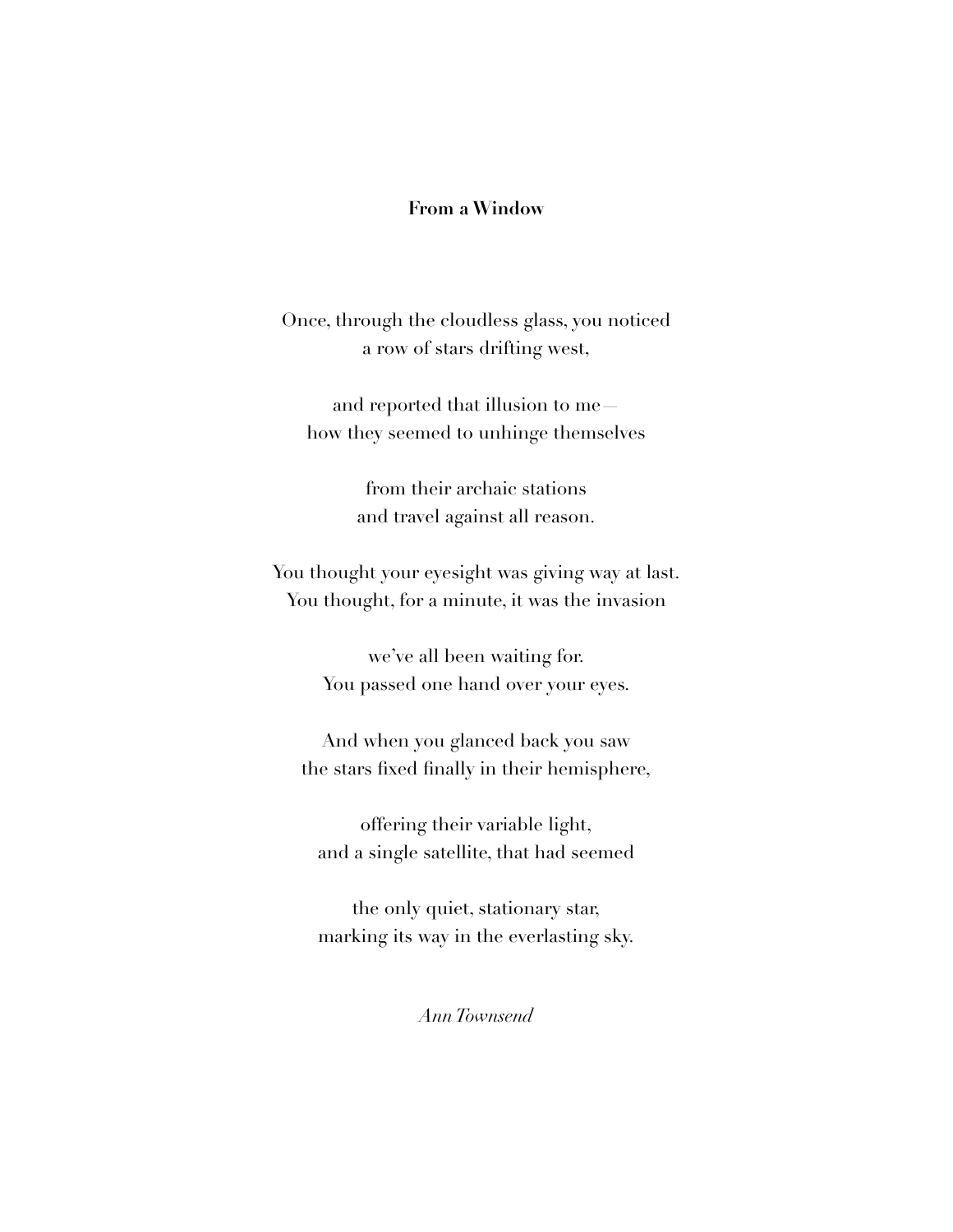## **From a Window**

Once, through the cloudless glass, you noticed a row of stars drifting west,

and reported that illusion to me how they seemed to unhinge themselves

> from their archaic stations and travel against all reason.

You thought your eyesight was giving way at last. You thought, for a minute, it was the invasion

> we've all been waiting for. You passed one hand over your eyes.

And when you glanced back you saw the stars fixed finally in their hemisphere,

offering their variable light, and a single satellite, that had seemed

the only quiet, stationary star, marking its way in the everlasting sky.

*Ann Townsend*